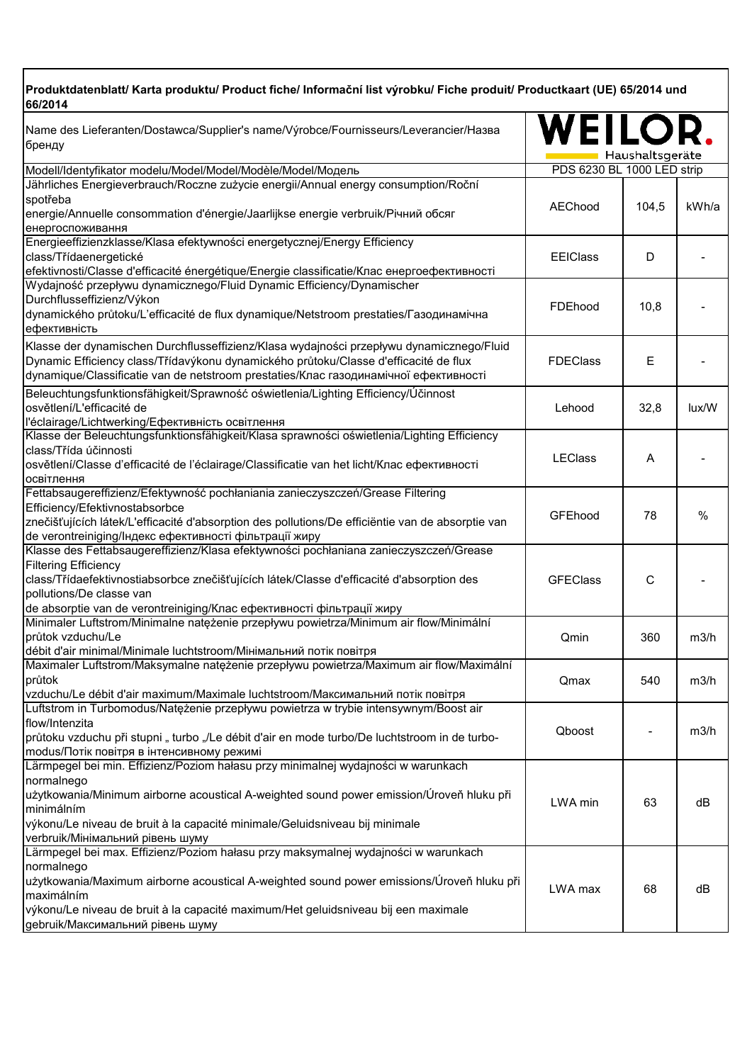## **Produktdatenblatt/ Karta produktu/ Product fiche/ Informační list výrobku/ Fiche produit/ Productkaart (UE) 65/2014 und 66/2014**

| Haushaltsgeräte<br>PDS 6230 BL 1000 LED strip<br>Modell/Identyfikator modelu/Model/Model/Modèle/Model/Модель<br>Jährliches Energieverbrauch/Roczne zużycie energii/Annual energy consumption/Roční<br>spotřeba<br>kWh/a<br>AEChood<br>104,5<br>energie/Annuelle consommation d'énergie/Jaarlijkse energie verbruik/Річний обсяг<br>енергоспоживання<br>Energieeffizienzklasse/Klasa efektywności energetycznej/Energy Efficiency<br>class/Třídaenergetické<br><b>EEIClass</b><br>D<br>efektivnosti/Classe d'efficacité énergétique/Energie classificatie/Клас енергоефективності<br>Wydajność przepływu dynamicznego/Fluid Dynamic Efficiency/Dynamischer<br>Durchflusseffizienz/Výkon<br>FDEhood<br>10,8<br>dynamického průtoku/L'efficacité de flux dynamique/Netstroom prestaties/Газодинамічна<br>ефективність<br>Klasse der dynamischen Durchflusseffizienz/Klasa wydajności przepływu dynamicznego/Fluid<br>Dynamic Efficiency class/Třídavýkonu dynamického průtoku/Classe d'efficacité de flux<br><b>FDEClass</b><br>Е<br>dynamique/Classificatie van de netstroom prestaties/Клас газодинамічної ефективності<br>Beleuchtungsfunktionsfähigkeit/Sprawność oświetlenia/Lighting Efficiency/Účinnost<br>osvětlení/L'efficacité de<br>Lehood<br>32,8<br>lux/W<br>l'éclairage/Lichtwerking/Ефективність освітлення<br>Klasse der Beleuchtungsfunktionsfähigkeit/Klasa sprawności oświetlenia/Lighting Efficiency<br>class/Třída účinnosti<br><b>LEClass</b><br>A<br>osvětlení/Classe d'efficacité de l'éclairage/Classificatie van het licht/Клас ефективності<br>освітлення<br>Fettabsaugereffizienz/Efektywność pochłaniania zanieczyszczeń/Grease Filtering<br>Efficiency/Efektivnostabsorbce<br>GFEhood<br>%<br>78<br>znečišťujících látek/L'efficacité d'absorption des pollutions/De efficiëntie van de absorptie van<br>de verontreiniging/Індекс ефективності фільтрації жиру<br>Klasse des Fettabsaugereffizienz/Klasa efektywności pochłaniana zanieczyszczeń/Grease<br><b>Filtering Efficiency</b><br>class/Třídaefektivnostiabsorbce znečišťujících látek/Classe d'efficacité d'absorption des<br><b>GFEClass</b><br>$\mathsf{C}$<br>pollutions/De classe van<br>de absorptie van de verontreiniging/Клас ефективності фільтрації жиру<br>Minimaler Luftstrom/Minimalne natężenie przepływu powietrza/Minimum air flow/Minimální<br>průtok vzduchu/Le<br>Qmin<br>360<br>m3/h<br>débit d'air minimal/Minimale luchtstroom/Мінімальний потік повітря<br>Maximaler Luftstrom/Maksymalne natężenie przepływu powietrza/Maximum air flow/Maximální<br>průtok<br>540<br>m3/h<br>Qmax<br>vzduchu/Le débit d'air maximum/Maximale luchtstroom/Максимальний потік повітря<br>Luftstrom in Turbomodus/Natężenie przepływu powietrza w trybie intensywnym/Boost air<br>flow/Intenzita<br>Qboost<br>m3/h<br>průtoku vzduchu při stupni "turbo "/Le débit d'air en mode turbo/De luchtstroom in de turbo-<br>modus/Потік повітря в інтенсивному режимі<br>Lärmpegel bei min. Effizienz/Poziom hałasu przy minimalnej wydajności w warunkach<br>normalnego<br>użytkowania/Minimum airborne acoustical A-weighted sound power emission/Úroveň hluku při<br>LWA min<br>63<br>dB<br>minimálním<br>výkonu/Le niveau de bruit à la capacité minimale/Geluidsniveau bij minimale<br>verbruik/Мінімальний рівень шуму<br>Lärmpegel bei max. Effizienz/Poziom hałasu przy maksymalnej wydajności w warunkach<br>normalnego<br>użytkowania/Maximum airborne acoustical A-weighted sound power emissions/Úroveň hluku při<br>LWA max<br>68<br>dB<br>maximálním<br>výkonu/Le niveau de bruit à la capacité maximum/Het geluidsniveau bij een maximale | Name des Lieferanten/Dostawca/Supplier's name/Výrobce/Fournisseurs/Leverancier/Hasaa<br>бренду | WEILOI |  |
|-----------------------------------------------------------------------------------------------------------------------------------------------------------------------------------------------------------------------------------------------------------------------------------------------------------------------------------------------------------------------------------------------------------------------------------------------------------------------------------------------------------------------------------------------------------------------------------------------------------------------------------------------------------------------------------------------------------------------------------------------------------------------------------------------------------------------------------------------------------------------------------------------------------------------------------------------------------------------------------------------------------------------------------------------------------------------------------------------------------------------------------------------------------------------------------------------------------------------------------------------------------------------------------------------------------------------------------------------------------------------------------------------------------------------------------------------------------------------------------------------------------------------------------------------------------------------------------------------------------------------------------------------------------------------------------------------------------------------------------------------------------------------------------------------------------------------------------------------------------------------------------------------------------------------------------------------------------------------------------------------------------------------------------------------------------------------------------------------------------------------------------------------------------------------------------------------------------------------------------------------------------------------------------------------------------------------------------------------------------------------------------------------------------------------------------------------------------------------------------------------------------------------------------------------------------------------------------------------------------------------------------------------------------------------------------------------------------------------------------------------------------------------------------------------------------------------------------------------------------------------------------------------------------------------------------------------------------------------------------------------------------------------------------------------------------------------------------------------------------------------------------------------------------------------------------------------------------------------------------------------------------------------------------------------------------------------------------------------------------------------------------------------------------------------------------------------------------------------------------------------------------------------------------------------------------------------------------------------------------------------------------------------|------------------------------------------------------------------------------------------------|--------|--|
|                                                                                                                                                                                                                                                                                                                                                                                                                                                                                                                                                                                                                                                                                                                                                                                                                                                                                                                                                                                                                                                                                                                                                                                                                                                                                                                                                                                                                                                                                                                                                                                                                                                                                                                                                                                                                                                                                                                                                                                                                                                                                                                                                                                                                                                                                                                                                                                                                                                                                                                                                                                                                                                                                                                                                                                                                                                                                                                                                                                                                                                                                                                                                                                                                                                                                                                                                                                                                                                                                                                                                                                                                                               |                                                                                                |        |  |
|                                                                                                                                                                                                                                                                                                                                                                                                                                                                                                                                                                                                                                                                                                                                                                                                                                                                                                                                                                                                                                                                                                                                                                                                                                                                                                                                                                                                                                                                                                                                                                                                                                                                                                                                                                                                                                                                                                                                                                                                                                                                                                                                                                                                                                                                                                                                                                                                                                                                                                                                                                                                                                                                                                                                                                                                                                                                                                                                                                                                                                                                                                                                                                                                                                                                                                                                                                                                                                                                                                                                                                                                                                               |                                                                                                |        |  |
|                                                                                                                                                                                                                                                                                                                                                                                                                                                                                                                                                                                                                                                                                                                                                                                                                                                                                                                                                                                                                                                                                                                                                                                                                                                                                                                                                                                                                                                                                                                                                                                                                                                                                                                                                                                                                                                                                                                                                                                                                                                                                                                                                                                                                                                                                                                                                                                                                                                                                                                                                                                                                                                                                                                                                                                                                                                                                                                                                                                                                                                                                                                                                                                                                                                                                                                                                                                                                                                                                                                                                                                                                                               |                                                                                                |        |  |
|                                                                                                                                                                                                                                                                                                                                                                                                                                                                                                                                                                                                                                                                                                                                                                                                                                                                                                                                                                                                                                                                                                                                                                                                                                                                                                                                                                                                                                                                                                                                                                                                                                                                                                                                                                                                                                                                                                                                                                                                                                                                                                                                                                                                                                                                                                                                                                                                                                                                                                                                                                                                                                                                                                                                                                                                                                                                                                                                                                                                                                                                                                                                                                                                                                                                                                                                                                                                                                                                                                                                                                                                                                               |                                                                                                |        |  |
|                                                                                                                                                                                                                                                                                                                                                                                                                                                                                                                                                                                                                                                                                                                                                                                                                                                                                                                                                                                                                                                                                                                                                                                                                                                                                                                                                                                                                                                                                                                                                                                                                                                                                                                                                                                                                                                                                                                                                                                                                                                                                                                                                                                                                                                                                                                                                                                                                                                                                                                                                                                                                                                                                                                                                                                                                                                                                                                                                                                                                                                                                                                                                                                                                                                                                                                                                                                                                                                                                                                                                                                                                                               |                                                                                                |        |  |
|                                                                                                                                                                                                                                                                                                                                                                                                                                                                                                                                                                                                                                                                                                                                                                                                                                                                                                                                                                                                                                                                                                                                                                                                                                                                                                                                                                                                                                                                                                                                                                                                                                                                                                                                                                                                                                                                                                                                                                                                                                                                                                                                                                                                                                                                                                                                                                                                                                                                                                                                                                                                                                                                                                                                                                                                                                                                                                                                                                                                                                                                                                                                                                                                                                                                                                                                                                                                                                                                                                                                                                                                                                               |                                                                                                |        |  |
|                                                                                                                                                                                                                                                                                                                                                                                                                                                                                                                                                                                                                                                                                                                                                                                                                                                                                                                                                                                                                                                                                                                                                                                                                                                                                                                                                                                                                                                                                                                                                                                                                                                                                                                                                                                                                                                                                                                                                                                                                                                                                                                                                                                                                                                                                                                                                                                                                                                                                                                                                                                                                                                                                                                                                                                                                                                                                                                                                                                                                                                                                                                                                                                                                                                                                                                                                                                                                                                                                                                                                                                                                                               |                                                                                                |        |  |
|                                                                                                                                                                                                                                                                                                                                                                                                                                                                                                                                                                                                                                                                                                                                                                                                                                                                                                                                                                                                                                                                                                                                                                                                                                                                                                                                                                                                                                                                                                                                                                                                                                                                                                                                                                                                                                                                                                                                                                                                                                                                                                                                                                                                                                                                                                                                                                                                                                                                                                                                                                                                                                                                                                                                                                                                                                                                                                                                                                                                                                                                                                                                                                                                                                                                                                                                                                                                                                                                                                                                                                                                                                               |                                                                                                |        |  |
|                                                                                                                                                                                                                                                                                                                                                                                                                                                                                                                                                                                                                                                                                                                                                                                                                                                                                                                                                                                                                                                                                                                                                                                                                                                                                                                                                                                                                                                                                                                                                                                                                                                                                                                                                                                                                                                                                                                                                                                                                                                                                                                                                                                                                                                                                                                                                                                                                                                                                                                                                                                                                                                                                                                                                                                                                                                                                                                                                                                                                                                                                                                                                                                                                                                                                                                                                                                                                                                                                                                                                                                                                                               |                                                                                                |        |  |
|                                                                                                                                                                                                                                                                                                                                                                                                                                                                                                                                                                                                                                                                                                                                                                                                                                                                                                                                                                                                                                                                                                                                                                                                                                                                                                                                                                                                                                                                                                                                                                                                                                                                                                                                                                                                                                                                                                                                                                                                                                                                                                                                                                                                                                                                                                                                                                                                                                                                                                                                                                                                                                                                                                                                                                                                                                                                                                                                                                                                                                                                                                                                                                                                                                                                                                                                                                                                                                                                                                                                                                                                                                               |                                                                                                |        |  |
|                                                                                                                                                                                                                                                                                                                                                                                                                                                                                                                                                                                                                                                                                                                                                                                                                                                                                                                                                                                                                                                                                                                                                                                                                                                                                                                                                                                                                                                                                                                                                                                                                                                                                                                                                                                                                                                                                                                                                                                                                                                                                                                                                                                                                                                                                                                                                                                                                                                                                                                                                                                                                                                                                                                                                                                                                                                                                                                                                                                                                                                                                                                                                                                                                                                                                                                                                                                                                                                                                                                                                                                                                                               |                                                                                                |        |  |
|                                                                                                                                                                                                                                                                                                                                                                                                                                                                                                                                                                                                                                                                                                                                                                                                                                                                                                                                                                                                                                                                                                                                                                                                                                                                                                                                                                                                                                                                                                                                                                                                                                                                                                                                                                                                                                                                                                                                                                                                                                                                                                                                                                                                                                                                                                                                                                                                                                                                                                                                                                                                                                                                                                                                                                                                                                                                                                                                                                                                                                                                                                                                                                                                                                                                                                                                                                                                                                                                                                                                                                                                                                               |                                                                                                |        |  |
|                                                                                                                                                                                                                                                                                                                                                                                                                                                                                                                                                                                                                                                                                                                                                                                                                                                                                                                                                                                                                                                                                                                                                                                                                                                                                                                                                                                                                                                                                                                                                                                                                                                                                                                                                                                                                                                                                                                                                                                                                                                                                                                                                                                                                                                                                                                                                                                                                                                                                                                                                                                                                                                                                                                                                                                                                                                                                                                                                                                                                                                                                                                                                                                                                                                                                                                                                                                                                                                                                                                                                                                                                                               |                                                                                                |        |  |
|                                                                                                                                                                                                                                                                                                                                                                                                                                                                                                                                                                                                                                                                                                                                                                                                                                                                                                                                                                                                                                                                                                                                                                                                                                                                                                                                                                                                                                                                                                                                                                                                                                                                                                                                                                                                                                                                                                                                                                                                                                                                                                                                                                                                                                                                                                                                                                                                                                                                                                                                                                                                                                                                                                                                                                                                                                                                                                                                                                                                                                                                                                                                                                                                                                                                                                                                                                                                                                                                                                                                                                                                                                               |                                                                                                |        |  |
|                                                                                                                                                                                                                                                                                                                                                                                                                                                                                                                                                                                                                                                                                                                                                                                                                                                                                                                                                                                                                                                                                                                                                                                                                                                                                                                                                                                                                                                                                                                                                                                                                                                                                                                                                                                                                                                                                                                                                                                                                                                                                                                                                                                                                                                                                                                                                                                                                                                                                                                                                                                                                                                                                                                                                                                                                                                                                                                                                                                                                                                                                                                                                                                                                                                                                                                                                                                                                                                                                                                                                                                                                                               |                                                                                                |        |  |
|                                                                                                                                                                                                                                                                                                                                                                                                                                                                                                                                                                                                                                                                                                                                                                                                                                                                                                                                                                                                                                                                                                                                                                                                                                                                                                                                                                                                                                                                                                                                                                                                                                                                                                                                                                                                                                                                                                                                                                                                                                                                                                                                                                                                                                                                                                                                                                                                                                                                                                                                                                                                                                                                                                                                                                                                                                                                                                                                                                                                                                                                                                                                                                                                                                                                                                                                                                                                                                                                                                                                                                                                                                               |                                                                                                |        |  |
|                                                                                                                                                                                                                                                                                                                                                                                                                                                                                                                                                                                                                                                                                                                                                                                                                                                                                                                                                                                                                                                                                                                                                                                                                                                                                                                                                                                                                                                                                                                                                                                                                                                                                                                                                                                                                                                                                                                                                                                                                                                                                                                                                                                                                                                                                                                                                                                                                                                                                                                                                                                                                                                                                                                                                                                                                                                                                                                                                                                                                                                                                                                                                                                                                                                                                                                                                                                                                                                                                                                                                                                                                                               |                                                                                                |        |  |
|                                                                                                                                                                                                                                                                                                                                                                                                                                                                                                                                                                                                                                                                                                                                                                                                                                                                                                                                                                                                                                                                                                                                                                                                                                                                                                                                                                                                                                                                                                                                                                                                                                                                                                                                                                                                                                                                                                                                                                                                                                                                                                                                                                                                                                                                                                                                                                                                                                                                                                                                                                                                                                                                                                                                                                                                                                                                                                                                                                                                                                                                                                                                                                                                                                                                                                                                                                                                                                                                                                                                                                                                                                               |                                                                                                |        |  |
|                                                                                                                                                                                                                                                                                                                                                                                                                                                                                                                                                                                                                                                                                                                                                                                                                                                                                                                                                                                                                                                                                                                                                                                                                                                                                                                                                                                                                                                                                                                                                                                                                                                                                                                                                                                                                                                                                                                                                                                                                                                                                                                                                                                                                                                                                                                                                                                                                                                                                                                                                                                                                                                                                                                                                                                                                                                                                                                                                                                                                                                                                                                                                                                                                                                                                                                                                                                                                                                                                                                                                                                                                                               |                                                                                                |        |  |
|                                                                                                                                                                                                                                                                                                                                                                                                                                                                                                                                                                                                                                                                                                                                                                                                                                                                                                                                                                                                                                                                                                                                                                                                                                                                                                                                                                                                                                                                                                                                                                                                                                                                                                                                                                                                                                                                                                                                                                                                                                                                                                                                                                                                                                                                                                                                                                                                                                                                                                                                                                                                                                                                                                                                                                                                                                                                                                                                                                                                                                                                                                                                                                                                                                                                                                                                                                                                                                                                                                                                                                                                                                               |                                                                                                |        |  |
|                                                                                                                                                                                                                                                                                                                                                                                                                                                                                                                                                                                                                                                                                                                                                                                                                                                                                                                                                                                                                                                                                                                                                                                                                                                                                                                                                                                                                                                                                                                                                                                                                                                                                                                                                                                                                                                                                                                                                                                                                                                                                                                                                                                                                                                                                                                                                                                                                                                                                                                                                                                                                                                                                                                                                                                                                                                                                                                                                                                                                                                                                                                                                                                                                                                                                                                                                                                                                                                                                                                                                                                                                                               |                                                                                                |        |  |
|                                                                                                                                                                                                                                                                                                                                                                                                                                                                                                                                                                                                                                                                                                                                                                                                                                                                                                                                                                                                                                                                                                                                                                                                                                                                                                                                                                                                                                                                                                                                                                                                                                                                                                                                                                                                                                                                                                                                                                                                                                                                                                                                                                                                                                                                                                                                                                                                                                                                                                                                                                                                                                                                                                                                                                                                                                                                                                                                                                                                                                                                                                                                                                                                                                                                                                                                                                                                                                                                                                                                                                                                                                               |                                                                                                |        |  |
|                                                                                                                                                                                                                                                                                                                                                                                                                                                                                                                                                                                                                                                                                                                                                                                                                                                                                                                                                                                                                                                                                                                                                                                                                                                                                                                                                                                                                                                                                                                                                                                                                                                                                                                                                                                                                                                                                                                                                                                                                                                                                                                                                                                                                                                                                                                                                                                                                                                                                                                                                                                                                                                                                                                                                                                                                                                                                                                                                                                                                                                                                                                                                                                                                                                                                                                                                                                                                                                                                                                                                                                                                                               |                                                                                                |        |  |
|                                                                                                                                                                                                                                                                                                                                                                                                                                                                                                                                                                                                                                                                                                                                                                                                                                                                                                                                                                                                                                                                                                                                                                                                                                                                                                                                                                                                                                                                                                                                                                                                                                                                                                                                                                                                                                                                                                                                                                                                                                                                                                                                                                                                                                                                                                                                                                                                                                                                                                                                                                                                                                                                                                                                                                                                                                                                                                                                                                                                                                                                                                                                                                                                                                                                                                                                                                                                                                                                                                                                                                                                                                               |                                                                                                |        |  |
|                                                                                                                                                                                                                                                                                                                                                                                                                                                                                                                                                                                                                                                                                                                                                                                                                                                                                                                                                                                                                                                                                                                                                                                                                                                                                                                                                                                                                                                                                                                                                                                                                                                                                                                                                                                                                                                                                                                                                                                                                                                                                                                                                                                                                                                                                                                                                                                                                                                                                                                                                                                                                                                                                                                                                                                                                                                                                                                                                                                                                                                                                                                                                                                                                                                                                                                                                                                                                                                                                                                                                                                                                                               |                                                                                                |        |  |
|                                                                                                                                                                                                                                                                                                                                                                                                                                                                                                                                                                                                                                                                                                                                                                                                                                                                                                                                                                                                                                                                                                                                                                                                                                                                                                                                                                                                                                                                                                                                                                                                                                                                                                                                                                                                                                                                                                                                                                                                                                                                                                                                                                                                                                                                                                                                                                                                                                                                                                                                                                                                                                                                                                                                                                                                                                                                                                                                                                                                                                                                                                                                                                                                                                                                                                                                                                                                                                                                                                                                                                                                                                               |                                                                                                |        |  |
|                                                                                                                                                                                                                                                                                                                                                                                                                                                                                                                                                                                                                                                                                                                                                                                                                                                                                                                                                                                                                                                                                                                                                                                                                                                                                                                                                                                                                                                                                                                                                                                                                                                                                                                                                                                                                                                                                                                                                                                                                                                                                                                                                                                                                                                                                                                                                                                                                                                                                                                                                                                                                                                                                                                                                                                                                                                                                                                                                                                                                                                                                                                                                                                                                                                                                                                                                                                                                                                                                                                                                                                                                                               |                                                                                                |        |  |
|                                                                                                                                                                                                                                                                                                                                                                                                                                                                                                                                                                                                                                                                                                                                                                                                                                                                                                                                                                                                                                                                                                                                                                                                                                                                                                                                                                                                                                                                                                                                                                                                                                                                                                                                                                                                                                                                                                                                                                                                                                                                                                                                                                                                                                                                                                                                                                                                                                                                                                                                                                                                                                                                                                                                                                                                                                                                                                                                                                                                                                                                                                                                                                                                                                                                                                                                                                                                                                                                                                                                                                                                                                               |                                                                                                |        |  |
|                                                                                                                                                                                                                                                                                                                                                                                                                                                                                                                                                                                                                                                                                                                                                                                                                                                                                                                                                                                                                                                                                                                                                                                                                                                                                                                                                                                                                                                                                                                                                                                                                                                                                                                                                                                                                                                                                                                                                                                                                                                                                                                                                                                                                                                                                                                                                                                                                                                                                                                                                                                                                                                                                                                                                                                                                                                                                                                                                                                                                                                                                                                                                                                                                                                                                                                                                                                                                                                                                                                                                                                                                                               |                                                                                                |        |  |
|                                                                                                                                                                                                                                                                                                                                                                                                                                                                                                                                                                                                                                                                                                                                                                                                                                                                                                                                                                                                                                                                                                                                                                                                                                                                                                                                                                                                                                                                                                                                                                                                                                                                                                                                                                                                                                                                                                                                                                                                                                                                                                                                                                                                                                                                                                                                                                                                                                                                                                                                                                                                                                                                                                                                                                                                                                                                                                                                                                                                                                                                                                                                                                                                                                                                                                                                                                                                                                                                                                                                                                                                                                               |                                                                                                |        |  |
|                                                                                                                                                                                                                                                                                                                                                                                                                                                                                                                                                                                                                                                                                                                                                                                                                                                                                                                                                                                                                                                                                                                                                                                                                                                                                                                                                                                                                                                                                                                                                                                                                                                                                                                                                                                                                                                                                                                                                                                                                                                                                                                                                                                                                                                                                                                                                                                                                                                                                                                                                                                                                                                                                                                                                                                                                                                                                                                                                                                                                                                                                                                                                                                                                                                                                                                                                                                                                                                                                                                                                                                                                                               |                                                                                                |        |  |
|                                                                                                                                                                                                                                                                                                                                                                                                                                                                                                                                                                                                                                                                                                                                                                                                                                                                                                                                                                                                                                                                                                                                                                                                                                                                                                                                                                                                                                                                                                                                                                                                                                                                                                                                                                                                                                                                                                                                                                                                                                                                                                                                                                                                                                                                                                                                                                                                                                                                                                                                                                                                                                                                                                                                                                                                                                                                                                                                                                                                                                                                                                                                                                                                                                                                                                                                                                                                                                                                                                                                                                                                                                               |                                                                                                |        |  |
|                                                                                                                                                                                                                                                                                                                                                                                                                                                                                                                                                                                                                                                                                                                                                                                                                                                                                                                                                                                                                                                                                                                                                                                                                                                                                                                                                                                                                                                                                                                                                                                                                                                                                                                                                                                                                                                                                                                                                                                                                                                                                                                                                                                                                                                                                                                                                                                                                                                                                                                                                                                                                                                                                                                                                                                                                                                                                                                                                                                                                                                                                                                                                                                                                                                                                                                                                                                                                                                                                                                                                                                                                                               |                                                                                                |        |  |
|                                                                                                                                                                                                                                                                                                                                                                                                                                                                                                                                                                                                                                                                                                                                                                                                                                                                                                                                                                                                                                                                                                                                                                                                                                                                                                                                                                                                                                                                                                                                                                                                                                                                                                                                                                                                                                                                                                                                                                                                                                                                                                                                                                                                                                                                                                                                                                                                                                                                                                                                                                                                                                                                                                                                                                                                                                                                                                                                                                                                                                                                                                                                                                                                                                                                                                                                                                                                                                                                                                                                                                                                                                               |                                                                                                |        |  |
|                                                                                                                                                                                                                                                                                                                                                                                                                                                                                                                                                                                                                                                                                                                                                                                                                                                                                                                                                                                                                                                                                                                                                                                                                                                                                                                                                                                                                                                                                                                                                                                                                                                                                                                                                                                                                                                                                                                                                                                                                                                                                                                                                                                                                                                                                                                                                                                                                                                                                                                                                                                                                                                                                                                                                                                                                                                                                                                                                                                                                                                                                                                                                                                                                                                                                                                                                                                                                                                                                                                                                                                                                                               |                                                                                                |        |  |
|                                                                                                                                                                                                                                                                                                                                                                                                                                                                                                                                                                                                                                                                                                                                                                                                                                                                                                                                                                                                                                                                                                                                                                                                                                                                                                                                                                                                                                                                                                                                                                                                                                                                                                                                                                                                                                                                                                                                                                                                                                                                                                                                                                                                                                                                                                                                                                                                                                                                                                                                                                                                                                                                                                                                                                                                                                                                                                                                                                                                                                                                                                                                                                                                                                                                                                                                                                                                                                                                                                                                                                                                                                               |                                                                                                |        |  |
|                                                                                                                                                                                                                                                                                                                                                                                                                                                                                                                                                                                                                                                                                                                                                                                                                                                                                                                                                                                                                                                                                                                                                                                                                                                                                                                                                                                                                                                                                                                                                                                                                                                                                                                                                                                                                                                                                                                                                                                                                                                                                                                                                                                                                                                                                                                                                                                                                                                                                                                                                                                                                                                                                                                                                                                                                                                                                                                                                                                                                                                                                                                                                                                                                                                                                                                                                                                                                                                                                                                                                                                                                                               |                                                                                                |        |  |
|                                                                                                                                                                                                                                                                                                                                                                                                                                                                                                                                                                                                                                                                                                                                                                                                                                                                                                                                                                                                                                                                                                                                                                                                                                                                                                                                                                                                                                                                                                                                                                                                                                                                                                                                                                                                                                                                                                                                                                                                                                                                                                                                                                                                                                                                                                                                                                                                                                                                                                                                                                                                                                                                                                                                                                                                                                                                                                                                                                                                                                                                                                                                                                                                                                                                                                                                                                                                                                                                                                                                                                                                                                               |                                                                                                |        |  |
|                                                                                                                                                                                                                                                                                                                                                                                                                                                                                                                                                                                                                                                                                                                                                                                                                                                                                                                                                                                                                                                                                                                                                                                                                                                                                                                                                                                                                                                                                                                                                                                                                                                                                                                                                                                                                                                                                                                                                                                                                                                                                                                                                                                                                                                                                                                                                                                                                                                                                                                                                                                                                                                                                                                                                                                                                                                                                                                                                                                                                                                                                                                                                                                                                                                                                                                                                                                                                                                                                                                                                                                                                                               |                                                                                                |        |  |
|                                                                                                                                                                                                                                                                                                                                                                                                                                                                                                                                                                                                                                                                                                                                                                                                                                                                                                                                                                                                                                                                                                                                                                                                                                                                                                                                                                                                                                                                                                                                                                                                                                                                                                                                                                                                                                                                                                                                                                                                                                                                                                                                                                                                                                                                                                                                                                                                                                                                                                                                                                                                                                                                                                                                                                                                                                                                                                                                                                                                                                                                                                                                                                                                                                                                                                                                                                                                                                                                                                                                                                                                                                               |                                                                                                |        |  |
|                                                                                                                                                                                                                                                                                                                                                                                                                                                                                                                                                                                                                                                                                                                                                                                                                                                                                                                                                                                                                                                                                                                                                                                                                                                                                                                                                                                                                                                                                                                                                                                                                                                                                                                                                                                                                                                                                                                                                                                                                                                                                                                                                                                                                                                                                                                                                                                                                                                                                                                                                                                                                                                                                                                                                                                                                                                                                                                                                                                                                                                                                                                                                                                                                                                                                                                                                                                                                                                                                                                                                                                                                                               |                                                                                                |        |  |
|                                                                                                                                                                                                                                                                                                                                                                                                                                                                                                                                                                                                                                                                                                                                                                                                                                                                                                                                                                                                                                                                                                                                                                                                                                                                                                                                                                                                                                                                                                                                                                                                                                                                                                                                                                                                                                                                                                                                                                                                                                                                                                                                                                                                                                                                                                                                                                                                                                                                                                                                                                                                                                                                                                                                                                                                                                                                                                                                                                                                                                                                                                                                                                                                                                                                                                                                                                                                                                                                                                                                                                                                                                               |                                                                                                |        |  |
|                                                                                                                                                                                                                                                                                                                                                                                                                                                                                                                                                                                                                                                                                                                                                                                                                                                                                                                                                                                                                                                                                                                                                                                                                                                                                                                                                                                                                                                                                                                                                                                                                                                                                                                                                                                                                                                                                                                                                                                                                                                                                                                                                                                                                                                                                                                                                                                                                                                                                                                                                                                                                                                                                                                                                                                                                                                                                                                                                                                                                                                                                                                                                                                                                                                                                                                                                                                                                                                                                                                                                                                                                                               |                                                                                                |        |  |
|                                                                                                                                                                                                                                                                                                                                                                                                                                                                                                                                                                                                                                                                                                                                                                                                                                                                                                                                                                                                                                                                                                                                                                                                                                                                                                                                                                                                                                                                                                                                                                                                                                                                                                                                                                                                                                                                                                                                                                                                                                                                                                                                                                                                                                                                                                                                                                                                                                                                                                                                                                                                                                                                                                                                                                                                                                                                                                                                                                                                                                                                                                                                                                                                                                                                                                                                                                                                                                                                                                                                                                                                                                               |                                                                                                |        |  |
|                                                                                                                                                                                                                                                                                                                                                                                                                                                                                                                                                                                                                                                                                                                                                                                                                                                                                                                                                                                                                                                                                                                                                                                                                                                                                                                                                                                                                                                                                                                                                                                                                                                                                                                                                                                                                                                                                                                                                                                                                                                                                                                                                                                                                                                                                                                                                                                                                                                                                                                                                                                                                                                                                                                                                                                                                                                                                                                                                                                                                                                                                                                                                                                                                                                                                                                                                                                                                                                                                                                                                                                                                                               |                                                                                                |        |  |
|                                                                                                                                                                                                                                                                                                                                                                                                                                                                                                                                                                                                                                                                                                                                                                                                                                                                                                                                                                                                                                                                                                                                                                                                                                                                                                                                                                                                                                                                                                                                                                                                                                                                                                                                                                                                                                                                                                                                                                                                                                                                                                                                                                                                                                                                                                                                                                                                                                                                                                                                                                                                                                                                                                                                                                                                                                                                                                                                                                                                                                                                                                                                                                                                                                                                                                                                                                                                                                                                                                                                                                                                                                               |                                                                                                |        |  |
|                                                                                                                                                                                                                                                                                                                                                                                                                                                                                                                                                                                                                                                                                                                                                                                                                                                                                                                                                                                                                                                                                                                                                                                                                                                                                                                                                                                                                                                                                                                                                                                                                                                                                                                                                                                                                                                                                                                                                                                                                                                                                                                                                                                                                                                                                                                                                                                                                                                                                                                                                                                                                                                                                                                                                                                                                                                                                                                                                                                                                                                                                                                                                                                                                                                                                                                                                                                                                                                                                                                                                                                                                                               |                                                                                                |        |  |
|                                                                                                                                                                                                                                                                                                                                                                                                                                                                                                                                                                                                                                                                                                                                                                                                                                                                                                                                                                                                                                                                                                                                                                                                                                                                                                                                                                                                                                                                                                                                                                                                                                                                                                                                                                                                                                                                                                                                                                                                                                                                                                                                                                                                                                                                                                                                                                                                                                                                                                                                                                                                                                                                                                                                                                                                                                                                                                                                                                                                                                                                                                                                                                                                                                                                                                                                                                                                                                                                                                                                                                                                                                               |                                                                                                |        |  |
|                                                                                                                                                                                                                                                                                                                                                                                                                                                                                                                                                                                                                                                                                                                                                                                                                                                                                                                                                                                                                                                                                                                                                                                                                                                                                                                                                                                                                                                                                                                                                                                                                                                                                                                                                                                                                                                                                                                                                                                                                                                                                                                                                                                                                                                                                                                                                                                                                                                                                                                                                                                                                                                                                                                                                                                                                                                                                                                                                                                                                                                                                                                                                                                                                                                                                                                                                                                                                                                                                                                                                                                                                                               |                                                                                                |        |  |
|                                                                                                                                                                                                                                                                                                                                                                                                                                                                                                                                                                                                                                                                                                                                                                                                                                                                                                                                                                                                                                                                                                                                                                                                                                                                                                                                                                                                                                                                                                                                                                                                                                                                                                                                                                                                                                                                                                                                                                                                                                                                                                                                                                                                                                                                                                                                                                                                                                                                                                                                                                                                                                                                                                                                                                                                                                                                                                                                                                                                                                                                                                                                                                                                                                                                                                                                                                                                                                                                                                                                                                                                                                               |                                                                                                |        |  |
|                                                                                                                                                                                                                                                                                                                                                                                                                                                                                                                                                                                                                                                                                                                                                                                                                                                                                                                                                                                                                                                                                                                                                                                                                                                                                                                                                                                                                                                                                                                                                                                                                                                                                                                                                                                                                                                                                                                                                                                                                                                                                                                                                                                                                                                                                                                                                                                                                                                                                                                                                                                                                                                                                                                                                                                                                                                                                                                                                                                                                                                                                                                                                                                                                                                                                                                                                                                                                                                                                                                                                                                                                                               |                                                                                                |        |  |
|                                                                                                                                                                                                                                                                                                                                                                                                                                                                                                                                                                                                                                                                                                                                                                                                                                                                                                                                                                                                                                                                                                                                                                                                                                                                                                                                                                                                                                                                                                                                                                                                                                                                                                                                                                                                                                                                                                                                                                                                                                                                                                                                                                                                                                                                                                                                                                                                                                                                                                                                                                                                                                                                                                                                                                                                                                                                                                                                                                                                                                                                                                                                                                                                                                                                                                                                                                                                                                                                                                                                                                                                                                               |                                                                                                |        |  |
|                                                                                                                                                                                                                                                                                                                                                                                                                                                                                                                                                                                                                                                                                                                                                                                                                                                                                                                                                                                                                                                                                                                                                                                                                                                                                                                                                                                                                                                                                                                                                                                                                                                                                                                                                                                                                                                                                                                                                                                                                                                                                                                                                                                                                                                                                                                                                                                                                                                                                                                                                                                                                                                                                                                                                                                                                                                                                                                                                                                                                                                                                                                                                                                                                                                                                                                                                                                                                                                                                                                                                                                                                                               | gebruik/Максимальний рівень шуму                                                               |        |  |